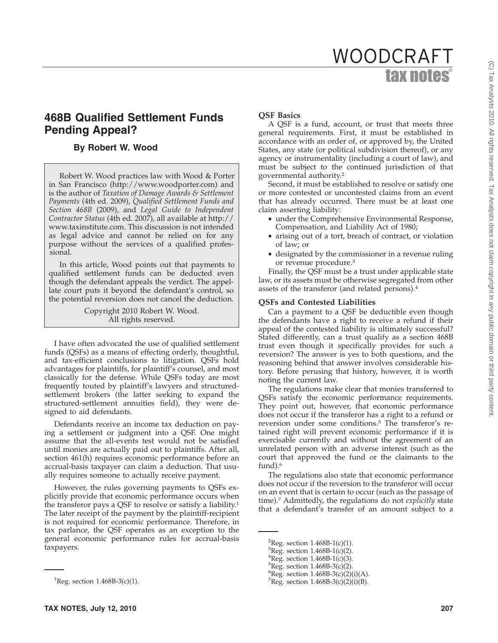# tax notes® WOODCRAFT

## **468B Qualified Settlement Funds Pending Appeal?**

### **By Robert W. Wood**

Robert W. Wood practices law with Wood & Porter in San Francisco (http://www.woodporter.com) and is the author of *Taxation of Damage Awards & Settlement Payments* (4th ed. 2009), *Qualified Settlement Funds and Section 468B* (2009), and *Legal Guide to Independent Contractor Status* (4th ed. 2007), all available at http:// www.taxinstitute.com. This discussion is not intended as legal advice and cannot be relied on for any purpose without the services of a qualified professional.

In this article, Wood points out that payments to qualified settlement funds can be deducted even though the defendant appeals the verdict. The appellate court puts it beyond the defendant's control, so the potential reversion does not cancel the deduction.

> Copyright 2010 Robert W. Wood. All rights reserved.

I have often advocated the use of qualified settlement funds (QSFs) as a means of effecting orderly, thoughtful, and tax-efficient conclusions to litigation. QSFs hold advantages for plaintiffs, for plaintiff's counsel, and most classically for the defense. While QSFs today are most frequently touted by plaintiff's lawyers and structuredsettlement brokers (the latter seeking to expand the structured-settlement annuities field), they were designed to aid defendants.

Defendants receive an income tax deduction on paying a settlement or judgment into a QSF. One might assume that the all-events test would not be satisfied until monies are actually paid out to plaintiffs. After all, section 461(h) requires economic performance before an accrual-basis taxpayer can claim a deduction. That usually requires someone to actually receive payment.

However, the rules governing payments to QSFs explicitly provide that economic performance occurs when the transferor pays a QSF to resolve or satisfy a liability.<sup>1</sup> The later receipt of the payment by the plaintiff-recipient is not required for economic performance. Therefore, in tax parlance, the QSF operates as an exception to the general economic performance rules for accrual-basis taxpayers.

#### **TAX NOTES, July 12, 2010 207**

#### **QSF Basics**

A QSF is a fund, account, or trust that meets three general requirements. First, it must be established in accordance with an order of, or approved by, the United States, any state (or political subdivision thereof), or any agency or instrumentality (including a court of law), and must be subject to the continued jurisdiction of that governmental authority.2

Second, it must be established to resolve or satisfy one or more contested or uncontested claims from an event that has already occurred. There must be at least one claim asserting liability:

- under the Comprehensive Environmental Response, Compensation, and Liability Act of 1980;
- arising out of a tort, breach of contract, or violation of law; or
- designated by the commissioner in a revenue ruling or revenue procedure.3

Finally, the QSF must be a trust under applicable state law, or its assets must be otherwise segregated from other assets of the transferor (and related persons).4

#### **QSFs and Contested Liabilities**

Can a payment to a QSF be deductible even though the defendants have a right to receive a refund if their appeal of the contested liability is ultimately successful? Stated differently, can a trust qualify as a section 468B trust even though it specifically provides for such a reversion? The answer is yes to both questions, and the reasoning behind that answer involves considerable history. Before perusing that history, however, it is worth noting the current law.

The regulations make clear that monies transferred to QSFs satisfy the economic performance requirements. They point out, however, that economic performance does not occur if the transferor has a right to a refund or reversion under some conditions.5 The transferor's retained right will prevent economic performance if it is exercisable currently and without the agreement of an unrelated person with an adverse interest (such as the court that approved the fund or the claimants to the fund).<sup>6</sup>

The regulations also state that economic performance does not occur if the reversion to the transferor will occur on an event that is certain to occur (such as the passage of time).7 Admittedly, the regulations do not *explicitly* state that a defendant's transfer of an amount subject to a

 ${}^{6}$ Reg. section 1.468B-3(c)(2)(i)(A).  ${}^{7}$ Reg. section 1.468B-3(c)(2)(i)(B).

<sup>&</sup>lt;sup>1</sup>Reg. section  $1.468B-3(c)(1)$ .

<sup>&</sup>lt;sup>2</sup>Reg. section  $1.468B-1(c)(1)$ .

 ${}^{3}$ Reg. section 1.468B-1(c)(2).

 ${}^{4}$ Reg. section 1.468B-1(c)(3).

 ${}^{5}$ Reg. section 1.468B-3(c)(2).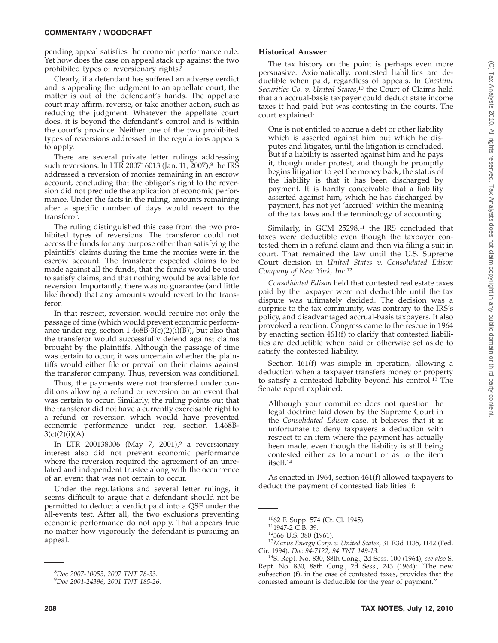#### **COMMENTARY / WOODCRAFT**

pending appeal satisfies the economic performance rule. Yet how does the case on appeal stack up against the two prohibited types of reversionary rights?

Clearly, if a defendant has suffered an adverse verdict and is appealing the judgment to an appellate court, the matter is out of the defendant's hands. The appellate court may affirm, reverse, or take another action, such as reducing the judgment. Whatever the appellate court does, it is beyond the defendant's control and is within the court's province. Neither one of the two prohibited types of reversions addressed in the regulations appears to apply.

There are several private letter rulings addressing such reversions. In LTR 200716013 (Jan. 11, 2007),<sup>8</sup> the IRS addressed a reversion of monies remaining in an escrow account, concluding that the obligor's right to the reversion did not preclude the application of economic performance. Under the facts in the ruling, amounts remaining after a specific number of days would revert to the transferor.

The ruling distinguished this case from the two prohibited types of reversions. The transferor could not access the funds for any purpose other than satisfying the plaintiffs' claims during the time the monies were in the escrow account. The transferor expected claims to be made against all the funds, that the funds would be used to satisfy claims, and that nothing would be available for reversion. Importantly, there was no guarantee (and little likelihood) that any amounts would revert to the transferor.

In that respect, reversion would require not only the passage of time (which would prevent economic performance under reg. section  $1.468B-3(c)(2)(i)(B))$ , but also that the transferor would successfully defend against claims brought by the plaintiffs. Although the passage of time was certain to occur, it was uncertain whether the plaintiffs would either file or prevail on their claims against the transferor company. Thus, reversion was conditional.

Thus, the payments were not transferred under conditions allowing a refund or reversion on an event that was certain to occur. Similarly, the ruling points out that the transferor did not have a currently exercisable right to a refund or reversion which would have prevented economic performance under reg. section 1.468B- $3(c)(2)(i)(A)$ .

In LTR 200138006 (May 7, 2001),<sup>9</sup> a reversionary interest also did not prevent economic performance where the reversion required the agreement of an unrelated and independent trustee along with the occurrence of an event that was not certain to occur.

Under the regulations and several letter rulings, it seems difficult to argue that a defendant should not be permitted to deduct a verdict paid into a QSF under the all-events test. After all, the two exclusions preventing economic performance do not apply. That appears true no matter how vigorously the defendant is pursuing an appeal.

#### **Historical Answer**

The tax history on the point is perhaps even more persuasive. Axiomatically, contested liabilities are deductible when paid, regardless of appeals. In *Chestnut Securities Co. v. United States*, <sup>10</sup> the Court of Claims held that an accrual-basis taxpayer could deduct state income taxes it had paid but was contesting in the courts. The court explained:

One is not entitled to accrue a debt or other liability which is asserted against him but which he disputes and litigates, until the litigation is concluded. But if a liability is asserted against him and he pays it, though under protest, and though he promptly begins litigation to get the money back, the status of the liability is that it has been discharged by payment. It is hardly conceivable that a liability asserted against him, which he has discharged by payment, has not yet 'accrued' within the meaning of the tax laws and the terminology of accounting.

Similarly, in GCM 25298,<sup>11</sup> the IRS concluded that taxes were deductible even though the taxpayer contested them in a refund claim and then via filing a suit in court. That remained the law until the U.S. Supreme Court decision in *United States v. Consolidated Edison Company of New York, Inc.*<sup>12</sup>

*Consolidated Edison* held that contested real estate taxes paid by the taxpayer were not deductible until the tax dispute was ultimately decided. The decision was a surprise to the tax community, was contrary to the IRS's policy, and disadvantaged accrual-basis taxpayers. It also provoked a reaction. Congress came to the rescue in 1964 by enacting section 461(f) to clarify that contested liabilities are deductible when paid or otherwise set aside to satisfy the contested liability.

Section 461(f) was simple in operation, allowing a deduction when a taxpayer transfers money or property to satisfy a contested liability beyond his control.<sup>13</sup> The Senate report explained:

Although your committee does not question the legal doctrine laid down by the Supreme Court in the *Consolidated Edison* case, it believes that it is unfortunate to deny taxpayers a deduction with respect to an item where the payment has actually been made, even though the liability is still being contested either as to amount or as to the item itself.14

As enacted in 1964, section 461(f) allowed taxpayers to deduct the payment of contested liabilities if:

<sup>8</sup> *Doc 2007-10053, 2007 TNT 78-33*. <sup>9</sup>

*Doc 2001-24396, 2001 TNT 185-26*.

<sup>&</sup>lt;sup>10</sup>62 F. Supp. 574 (Ct. Cl. 1945).<br><sup>11</sup>1947-2 C.B. 39.<br><sup>12</sup>366 U.S. 380 (1961).<br><sup>13</sup>*Maxus Energy Corp. v. United States,* 31 F.3d 1135, 1142 (Fed.<br>Cir. 1994), *Doc 9*4-7122, 94 TNT 149-13.

<sup>&</sup>lt;sup>14</sup>S. Rept. No. 830, 88th Cong., 2d Sess. 100 (1964); see also S. Rept. No. 830, 88th Cong., 2d Sess., 243 (1964): ''The new subsection (f), in the case of contested taxes, provides that the contested amount is deductible for the year of payment.''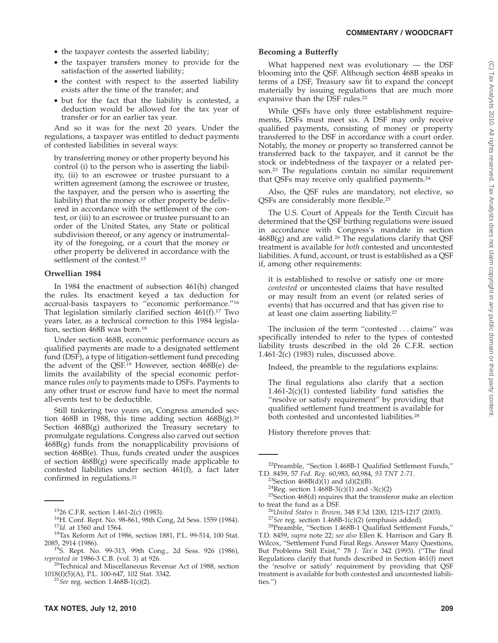- the taxpayer contests the asserted liability;
- the taxpayer transfers money to provide for the satisfaction of the asserted liability;
- the contest with respect to the asserted liability exists after the time of the transfer; and
- but for the fact that the liability is contested, a deduction would be allowed for the tax year of transfer or for an earlier tax year.

And so it was for the next 20 years. Under the regulations, a taxpayer was entitled to deduct payments of contested liabilities in several ways:

by transferring money or other property beyond his control (i) to the person who is asserting the liability, (ii) to an escrowee or trustee pursuant to a written agreement (among the escrowee or trustee, the taxpayer, and the person who is asserting the liability) that the money or other property be delivered in accordance with the settlement of the contest, or (iii) to an escrowee or trustee pursuant to an order of the United States, any State or political subdivision thereof, or any agency or instrumentality of the foregoing, or a court that the money or other property be delivered in accordance with the settlement of the contest.<sup>15</sup>

#### **Orwellian 1984**

In 1984 the enactment of subsection 461(h) changed the rules. Its enactment keyed a tax deduction for accrual-basis taxpayers to ''economic performance.''16 That legislation similarly clarified section  $461(f).$ <sup>17</sup> Two years later, as a technical correction to this 1984 legislation, section 468B was born.<sup>18</sup>

Under section 468B, economic performance occurs as qualified payments are made to a designated settlement fund (DSF), a type of litigation-settlement fund preceding the advent of the QSF.<sup>19</sup> However, section 468B(e) delimits the availability of the special economic performance rules *only* to payments made to DSFs. Payments to any other trust or escrow fund have to meet the normal all-events test to be deductible.

Still tinkering two years on, Congress amended section 468B in 1988, this time adding section  $468B(g).^{20}$ Section 468B(g) authorized the Treasury secretary to promulgate regulations. Congress also carved out section  $468B(g)$  funds from the nonapplicability provisions of section 468B(e). Thus, funds created under the auspices of section 468B(g) were specifically made applicable to contested liabilities under section 461(f), a fact later confirmed in regulations.<sup>21</sup>

#### **Becoming a Butterfly**

What happened next was evolutionary — the DSF blooming into the QSF. Although section 468B speaks in terms of a DSF, Treasury saw fit to expand the concept materially by issuing regulations that are much more expansive than the DSF rules.22

While QSFs have only three establishment requirements, DSFs must meet six. A DSF may only receive qualified payments, consisting of money or property transferred to the DSF in accordance with a court order. Notably, the money or property so transferred cannot be transferred back to the taxpayer, and it cannot be the stock or indebtedness of the taxpayer or a related person.23 The regulations contain no similar requirement that QSFs may receive only qualified payments.24

Also, the QSF rules are mandatory, not elective, so QSFs are considerably more flexible.25

The U.S. Court of Appeals for the Tenth Circuit has determined that the QSF birthing regulations were issued in accordance with Congress's mandate in section  $468B(g)$  and are valid.<sup>26</sup> The regulations clarify that QSF treatment is available for *both* contested and uncontested liabilities. A fund, account, or trust is established as a QSF if, among other requirements:

it is established to resolve or satisfy one or more *contested* or uncontested claims that have resulted or may result from an event (or related series of events) that has occurred and that has given rise to at least one claim asserting liability.27

The inclusion of the term ''contested... claims'' was specifically intended to refer to the types of contested liability trusts described in the old 26 C.F.R. section 1.461-2(c) (1983) rules, discussed above.

Indeed, the preamble to the regulations explains:

The final regulations also clarify that a section  $1.461-2(c)(1)$  contested liability fund satisfies the ''resolve or satisfy requirement'' by providing that qualified settlement fund treatment is available for both contested and uncontested liabilities.28

History therefore proves that:

<sup>&</sup>lt;sup>15</sup>26 C.F.R. section 1.461-2(c) (1983).<br><sup>16</sup>H. Conf. Rept. No. 98-861, 98th Cong, 2d Sess. 1559 (1984).<br><sup>17</sup>*Id.* at 1560 and 1564.<br><sup>18</sup>Tax Reform Act of 1986, section 1881, P.L. 99-514, 100 Stat.<br>2085, 2914 (1986).

<sup>&</sup>lt;sup>19</sup>S. Rept. No. 99-313, 99th Cong., 2d Sess. 926 (1986), *reprinted in* 1986-3 C.B. (vol. 3) at 926.

<sup>&</sup>lt;sup>20</sup>Technical and Miscellaneous Revenue Act of 1988, section 1018(f)(5)(A), P.L. 100-647, 102 Stat. 3342. <sup>21</sup>*See* reg. section 1.468B-1(c)(2).

<sup>&</sup>lt;sup>22</sup>Preamble, "Section 1.468B-1 Qualified Settlement Funds,"<br>T.D. 8459, 57 Fed. Reg. 60,983, 60,984, 93 TNT 2-71.

<sup>&</sup>lt;sup>23</sup>Section 468B(d)(1) and (d)(2)(B).<br><sup>24</sup>Reg. section 1.468B-3(c)(1) and -3(c)(2)<br><sup>25</sup>Section 468(d) requires that the transferor make an election

to treat the fund as a DSF.<br><sup>26</sup>*United States v. Brown,* 348 F.3d 1200, 1215-1217 (2003).<br><sup>27</sup>*See* reg. section 1.468B-1(c)(2) (emphasis added).<br><sup>28</sup>Preamble, ''Section 1.468B-1 Qualified Settlement Funds,''

T.D. 8459, *supra* note 22; *see also* Ellen K. Harrison and Gary B. Wilcox, ''Settlement Fund Final Regs. Answer Many Questions, But Problems Still Exist,'' 78 *J. Tax'n* 342 (1993). (''The final Regulations clarify that funds described in Section 461(f) meet the 'resolve or satisfy' requirement by providing that QSF treatment is available for both contested and uncontested liabilities.'')